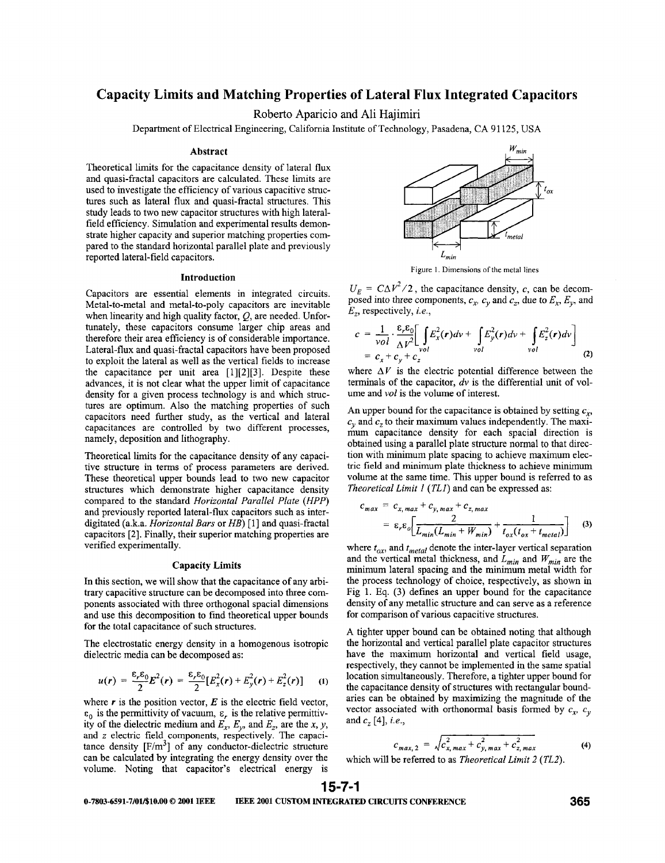# **Capacity Limits and Matching Properties of Lateral Flux Integrated Capacitors**

Roberto **Aparicio** and **Ali** Hajimiri

Department of Electrical Engineering, California Institute of Technology, Pasadena, CA 91 125, USA

### Abstract

Theoretical limits for the capacitance density of lateral flux and quasi-fractal capacitors are calculated. These limits are used to investigate the efficiency of various capacitive structures such as lateral flux and quasi-fractal structures. This study leads to two new capacitor structures with high lateralfield efficiency. Simulation and experimental results demonstrate higher capacity and superior matching properties compared to the standard horizontal parallel plate and previously reported lateral-field capacitors.

### Introduction

Capacitors are essential elements in integrated circuits. Metal-to-metal and metal-to-poly capacitors are inevitable when linearity and high quality factor, *Q,* are needed. Unfortunately, these capacitors consume larger chip areas and therefore their area efficiency is of considerable importance. Lateral-flux and quasi-fractal capacitors have been proposed to exploit the lateral as well as the vertical fields to increase the capacitance per unit area [1][2][3]. Despite these advances, it is not clear what the upper limit of capacitance density for a given process technology is and which structures are optimum. Also the matching properties of such capacitors need further study, as the vertical and lateral capacitances are controlled by two different processes, namely, deposition and lithography.

Theoretical limits for the capacitance density of any capacitive structure in terms of process parameters are derived. These theoretical upper bounds lead to two new capacitor structures which demonstrate higher capacitance density compared to the standard *Horizontal Parallel Plate (HPP)*  and previously reported lateral-flux capacitors such as interdigitated (a.k.a. *Horizontal Burs* or *HB)* [ 11 and quasi-fractal capacitors [2]. Finally, their superior matching properties are verified experimentally.

# Capacity **Limits**

**In** this section, we will show that the capacitance of any arbitrary capacitive structure can be decomposed into three components associated with three orthogonal spacial dimensions and use this decomposition to find theoretical upper bounds for the total capacitance of such structures.

The electrostatic energy density in a homogenous isotropic dielectric media can be decomposed as:

$$
u(r) = \frac{\varepsilon_r \varepsilon_0}{2} E^2(r) = \frac{\varepsilon_r \varepsilon_0}{2} [E_x^2(r) + E_y^2(r) + E_z^2(r)] \qquad (1)
$$

where  $r$  is the position vector,  $E$  is the electric field vector, is the permittivity of vacuum, **E,** is the relative permittivity of the dielectric medium and  $E_x$ ,  $E_y$ , and  $E_z$ , are the x, y, and *z* electric field components, respectively. The capacitance density  $[F/m<sup>3</sup>]$  of any conductor-dielectric structure can be calculated by integrating the energy density over the volume. Noting that capacitor's electrical energy is



Figure **1.** Dimensions of **the metal** lines

 $U_E = C\Delta V^2/2$ , the capacitance density, *c*, can be decomposed into three components,  $c_x$ ,  $c_y$  and  $c_z$ , due to  $E_x$ ,  $E_y$ , and *E,,* respectively, *i.e.,* 

$$
c = \frac{1}{vol} \cdot \frac{\varepsilon_r \varepsilon_0}{\Delta V^2} \left[ \int_{vol} E_x^2(r) dv + \int_{vol} E_y^2(r) dv + \int_{vol} E_z^2(r) dv \right]
$$
  
=  $c_x + c_y + c_z$  (2)

where  $\Delta V$  is the electric potential difference between the terminals of the capacitor, *dv* is the differential unit of volume and *vol* is the volume of interest.

An upper bound for the capacitance is obtained by setting  $c<sub>r</sub>$ ,  $c<sub>v</sub>$  and  $c<sub>z</sub>$  to their maximum values independently. The maximum capacitance density for each spacial direction is obtained using a parallel plate structure normal to that direction with minimum plate spacing to achieve maximum electric field and minimum plate thickness to achieve minimum volume at the same time. This upper bound is referred to as *Theoretical Limit 1 (TLI)* and can be expressed as:<br> $C_{\text{max}} = C_{\text{max}} + C_{\text{max}} + C_{\text{max}}$ 

$$
c_{max} = c_{x, max} + c_{y, max} + c_{z, max}
$$
  
=  $\varepsilon_r \varepsilon_o \bigg[ \frac{2}{L_{min}(L_{min} + W_{min})} + \frac{1}{t_{ox}(t_{ox} + t_{metal})} \bigg]$  (3)

where  $t_{ox}$ , and  $t_{metal}$  denote the inter-layer vertical separation and the vertical metal thickness, and *Lmjn* and *Wmin* are the minimum lateral spacing and the minimum metal width for the process technology of choice, respectively, as shown in Fig 1. **Eq.** (3) defines **an** upper bound for the capacitance density of any metallic structure and can serve as a reference for comparison of various capacitive structures.

**A** tighter upper bound can be obtained noting that although the horizontal and vertical parallel plate capacitor structures have the maximum horizontal and vertical field usage, respectively, they cannot be implemented in the same spatial location simultaneously. Therefore, a tighter upper bound for the capacitance density of structures with rectangular boundaries can be obtained by maximizing the magnitude of the vector associated with orthonormal basis formed by  $c_x$ ,  $c_y$ and *c,* [4], *i.e.,* 

$$
c_{max, 2} = \sqrt{c_{x, max}^2 + c_{y, max}^2 + c_{z, max}^2}
$$
 (4)

which will be referred to as *Theoretical Limit 2 (TL2).* 

# **15-7-1**

**0-7803-6591-7/01/\$10~00** *0* **2001 IEEE IEEE 2001 CUSTOM INTEGRATED CIRCUITS CONFERENCE 365**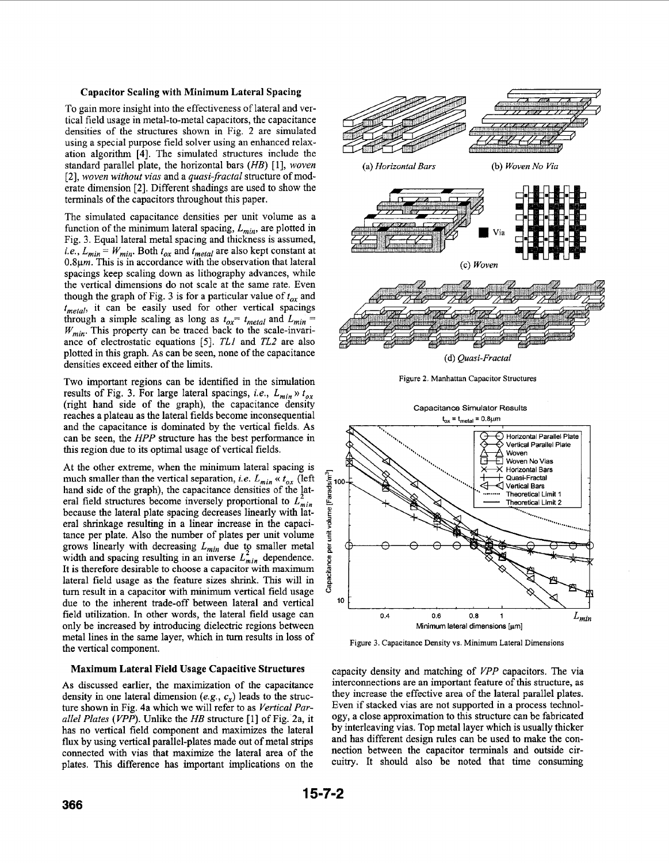# <span id="page-1-0"></span>Capacitor Scaling with Minimum Lateral Spacing

To gain more insight into the effectiveness of lateral and vertical field usage in metal-to-metal capacitors, the capacitance densities of the structures shown in Fig. 2 are simulated using a special purpose field solver using an enhanced relaxation algorithm **[4].** The simulated structures include the standard parallel plate, the horizontal bars *(HB)* [ 11, *woven*  **[2],** *woven without vias* and a *quasi-fractal* structure of moderate dimension **[2].** Different shadings are used to show the terminals of the capacitors throughout this paper.

The simulated capacitance densities per unit volume as a function of the minimum lateral spacing, *Lmin,* are plotted in Fig. 3. Equal lateral metal spacing and thickness is assumed, *i.e.,*  $L_{min} = W_{min}$ . Both  $t_{ox}$  and  $t_{metal}$  are also kept constant at **0.8pm.** This is in accordance with the observation that lateral spacings keep scaling down as lithography advances, while the vertical dimensions do not scale at the same rate. Even though the graph of Fig. 3 is for a particular value of  $t_{ox}$  and *tmetul,* it can be easily used for other vertical spacings through a simple scaling as long as  $t_{ox} = t_{metal}$  and  $L_{min} =$ *Wmjn.* This property can be traced back to the scale-invariance of electrostatic equations *[5]. TLI* and *TL2* are also plotted in this graph. As can be seen, none of the capacitance densities exceed either of the limits.

Two important regions can be identified in the simulation results of Fig. 3. For large lateral spacings, *i.e.*,  $L_{min} \gg t_{ox}$ (right hand side of the graph), the capacitance density reaches a plateau as the lateral fields become inconsequential and the capacitance is dominated by the vertical fields. As can be seen, the *HPP* structure has the best performance in this region due to its optimal usage of vertical fields.

At the other extreme, when the minimum lateral spacing is much smaller than the vertical separation, *i.e.*  $L_{min} \ll t_{ox}$  (left hand side of the graph), the capacitance densities of the lateral field structures become inversely proportional to  $L_{min}^2$ because the lateral plate spacing decreases linearly with lateral shrinkage resulting in a linear increase in the capacitance per plate. Also the number of plates per unit volume grows linearly with decreasing *Lmin* due to smaller metal width and spacing resulting in an inverse  $L_{min}^2$  dependence. It is therefore desirable to choose a capacitor with maximum lateral field usage as the feature sizes shrink. This will in tum result in a capacitor with minimum vertical field usage due to the inherent trade-off between lateral and vertical field utilization. In other words, the lateral field usage can only be increased by introducing dielectric regions between metal lines in the same layer, which in turn results in loss of the vertical component.

# Maximum Lateral Field Usage Capacitive Structures

As discussed earlier, the maximization of the capacitance density in one lateral dimension *(e.g., c,)* leads **to** the structure shown in Fig. 4a which we will refer to as *Vertical Parallel Plates (VPP).* Unlike the *HB* structure [l] of Fig. 2a, it has no vertical field component and maximizes the lateral **flux** by using vertical parallel-plates made out of metal strips connected with vias that maximize the lateral area of the plates. This difference has important implications on the



**Figure 3. Capacitance Density vs. Minimum Lateral Dimensions** 

capacity density and matching of *VPP* capacitors. The via interconnections are an important feature of this structure, as they increase the effective area of the lateral parallel plates. Even if stacked vias are not supported in a process technology, a close approximation to this structure can be fabricated by interleaving vias. Top metal layer which is usually thicker and has different design rules can be used to make the connection between the capacitor terminals and outside circuitry. It should also be noted that time consuming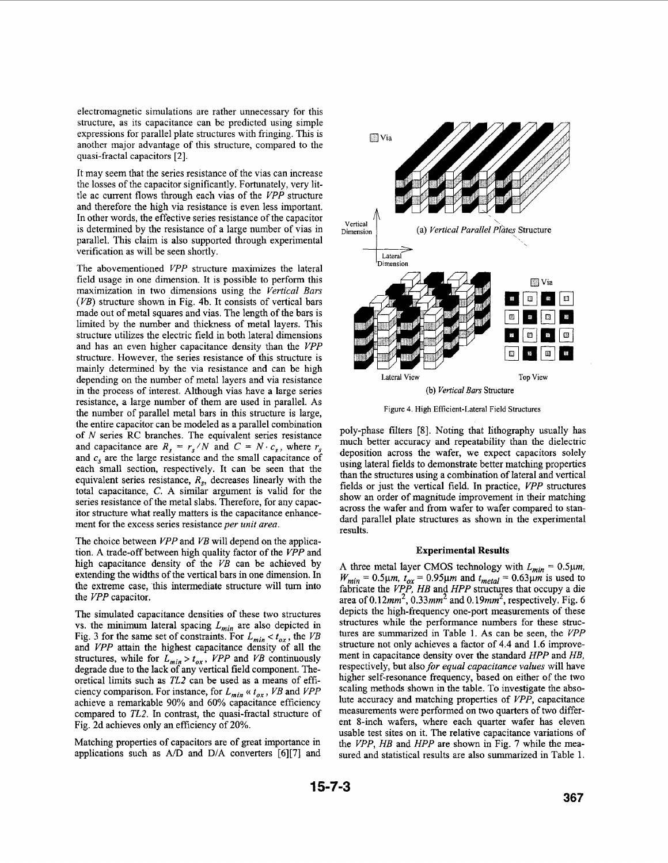electromagnetic simulations are rather unnecessary for this structure, as its capacitance can be predicted using simple expressions for parallel plate structures with fringing. This is another major advantage of this structure, compared to the quasi-fractal capacitors [2].

It may seem that the series resistance of the vias can increase the losses of the capacitor significantly. Fortunately, very little ac current flows through each vias of the *VPP* structure and therefore the high via resistance is even less important. In other words, the effective series resistance of the capacitor is determined by the resistance of a large number of vias in parallel. This claim is also supported through experimental verification as will be seen shortly.

The abovementioned *VPP* structure maximizes the lateral field usage in one dimension. It is possible to perform this maximization in two dimensions using the *Vertical Bars (VB)* structure shown in Fig. **4b.** It consists of vertical bars made out of metal squares and vias. The length of the bars is limited by the number and thickness of metal layers. This structure utilizes the electric field in both lateral dimensions and has an even higher capacitance density than the *VPP*  structure. However, the series resistance of this structure is mainly determined by the via resistance and can be high depending on the number of metal layers and via resistance in the process of interest. Although vias have a large series resistance, a large number of them are used in parallel. **As**  the number of parallel metal bars in this structure is large, the entire capacitor can be modeled as a parallel combination of *N* series RC branches. The equivalent series resistance and capacitance are  $R_s = r_s/N$  and  $C = N \cdot c_s$ , where  $r_s$ and  $c_s$  are the large resistance and the small capacitance of each small section, respectively. **It** can be seen that the equivalent series resistance, *R,,* decreases linearly with the total capacitance, C. **A** similar argument is valid for the series resistance of the metal slabs. Therefore, for any capacitor structure what really matters is the capacitance enhancement for the excess series resistance *per unit area.* 

The choice between *VPP* and *VB* will depend on the application. **A** trade-off between high quality factor of the *VPP* and high capacitance density of the *VB* can be achieved by extending the widths of the vertical bars in one dimension. In the extreme case, this intermediate structure will tum into the *VPP* capacitor.

The simulated capacitance densities of these two structures vs. the minimum lateral spacing  $L_{min}$  are also depicted in [Fig. 3](#page-1-0) for the same set of constraints. For  $L_{min} < t_{ox}$ , the *VB* and *VPP* attain the highest capacitance density of all the structures, while for  $L_{min} > t_{ox}$ , *VPP* and *VB* continuously degrade due to the lack of any vertical field component. Theoretical limits such as *TL2* can be used as a means of efficiency comparison. For instance, for  $L_{min} \ll t_{ox}$ , VB and VPP achieve a remarkable 90% and 60% capacitance efficiency compared to *TL2.* In contrast, the quasi-fractal structure of Fig. 2d achieves only an efficiency of 20%.

Matching properties of capacitors are of great importance in applications such as A/D and **D/A** converters [6][7] and



**Figure** 4. High **Efficient-Lateral Field Structures** 

poly-phase filters **[SI.** Noting that lithography usually has much better accuracy and repeatability than the dielectric deposition across the wafer, we expect capacitors solely using lateral fields to demonstrate better matching properties than the structures using a combination of lateral and vertical fields or just the vertical field. In practice, *VPP* structures show an order of magnitude improvement in their matching across the wafer and from wafer to wafer compared to standard parallel plate structures as shown in the experimental results.

# **Experimental Results**

A three metal layer CMOS technology with  $L_{min} = 0.5 \mu m$ ,  $W_{min} = 0.5 \mu m$ ,  $t_{ox} = 0.95 \mu m$  and  $t_{metal} = 0.63 \mu m$  is used to fabricate the *VPP, HB* and *HPP* structures that occupy a die area of  $0.12mm^2$ ,  $0.33mm^2$  and  $0.19mm^2$ , respectively. [Fig. 6](#page-3-0) depicts the high-frequency one-port measurements of these structures while the performance numbers for these structures are summarized in [Table 1.](#page-3-0) **As** can be seen, the *VPP*  structure not only achieves a factor of **4.4** and 1.6 improvement in capacitance density over the standard *HPP* and *HB,*  respectively, but also *for equal capacitance values* will have higher self-resonance frequency, based on either of the two scaling methods shown in the table. To investigate the absolute accuracy and matching properties of *VPP,* capacitance measurements were performed on two quarters of two different 8-inch wafers, where each quarter wafer has eleven usable test sites on it. The relative capacitance variations **of**  the *VPP, HB* and *HPP* are shown in [Fig. 7](#page-3-0) while the measured and statistical results are also summarized in Table l.